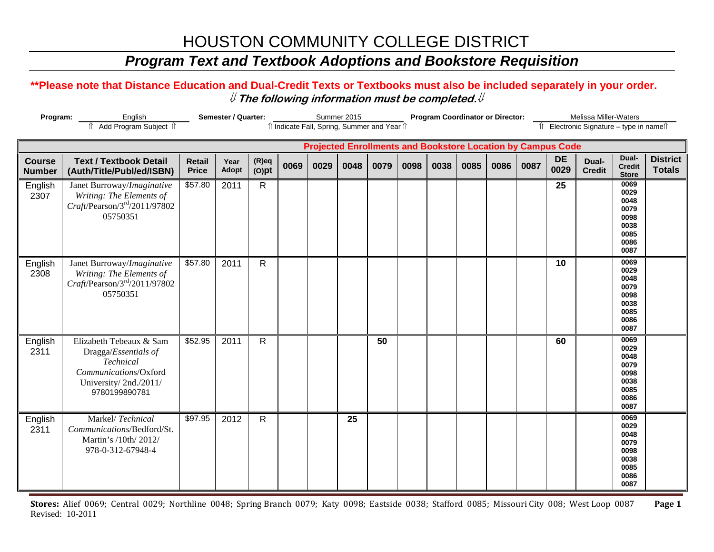### *Program Text and Textbook Adoptions and Bookstore Requisition*

#### **\*\*Please note that Distance Education and Dual-Credit Texts or Textbooks must also be included separately in your order.**  ⇓ **The following information must be completed.**⇓

| Program:                       |                                                                                                                                 | <b>Semester / Quarter:</b>    |               |                      |      | Summer 2015<br>îl Indicate Fall, Spring, Summer and Year îl |      |      |      | <b>Program Coordinator or Director:</b> |      |      | Melissa Miller-Waters<br>Electronic Signature - type in namell |                                                                    |                        |                                                                      |                                  |
|--------------------------------|---------------------------------------------------------------------------------------------------------------------------------|-------------------------------|---------------|----------------------|------|-------------------------------------------------------------|------|------|------|-----------------------------------------|------|------|----------------------------------------------------------------|--------------------------------------------------------------------|------------------------|----------------------------------------------------------------------|----------------------------------|
|                                |                                                                                                                                 |                               |               |                      |      |                                                             |      |      |      |                                         |      |      |                                                                | <b>Projected Enrollments and Bookstore Location by Campus Code</b> |                        |                                                                      |                                  |
| <b>Course</b><br><b>Number</b> | <b>Text / Textbook Detail</b><br>(Auth/Title/Publ/ed/ISBN)                                                                      | <b>Retail</b><br><b>Price</b> | Year<br>Adopt | $(R)$ eq<br>$(O)$ pt | 0069 | 0029                                                        | 0048 | 0079 | 0098 | 0038                                    | 0085 | 0086 | 0087                                                           | <b>DE</b><br>0029                                                  | Dual-<br><b>Credit</b> | Dual-<br><b>Credit</b><br><b>Store</b>                               | <b>District</b><br><b>Totals</b> |
| English<br>2307                | Janet Burroway/Imaginative<br>Writing: The Elements of<br>$Craft$ /Pearson/3 <sup>rd</sup> /2011/97802<br>05750351              | \$57.80                       | 2011          | $\mathsf{R}$         |      |                                                             |      |      |      |                                         |      |      |                                                                | 25                                                                 |                        | 0069<br>0029<br>0048<br>0079<br>0098<br>0038<br>0085<br>0086<br>0087 |                                  |
| English<br>2308                | Janet Burroway/Imaginative<br>Writing: The Elements of<br>$Craff$ /Pearson/3 <sup>rd</sup> /2011/97802<br>05750351              | \$57.80                       | 2011          | $\mathsf{R}$         |      |                                                             |      |      |      |                                         |      |      |                                                                | 10                                                                 |                        | 0069<br>0029<br>0048<br>0079<br>0098<br>0038<br>0085<br>0086<br>0087 |                                  |
| English<br>2311                | Elizabeth Tebeaux & Sam<br>Dragga/Essentials of<br>Technical<br>Communications/Oxford<br>University/2nd./2011/<br>9780199890781 | \$52.95                       | 2011          | $\mathsf{R}$         |      |                                                             |      | 50   |      |                                         |      |      |                                                                | 60                                                                 |                        | 0069<br>0029<br>0048<br>0079<br>0098<br>0038<br>0085<br>0086<br>0087 |                                  |
| English<br>2311                | Markel/Technical<br>Communications/Bedford/St.<br>Martin's /10th/ 2012/<br>978-0-312-67948-4                                    | \$97.95                       | 2012          | $\mathsf{R}$         |      |                                                             | 25   |      |      |                                         |      |      |                                                                |                                                                    |                        | 0069<br>0029<br>0048<br>0079<br>0098<br>0038<br>0085<br>0086<br>0087 |                                  |

**Stores:** Alief 0069; Central 0029; Northline 0048; Spring Branch 0079; Katy 0098; Eastside 0038; Stafford 0085; Missouri City 008; West Loop 0087 **Page 1** Revised: 10-2011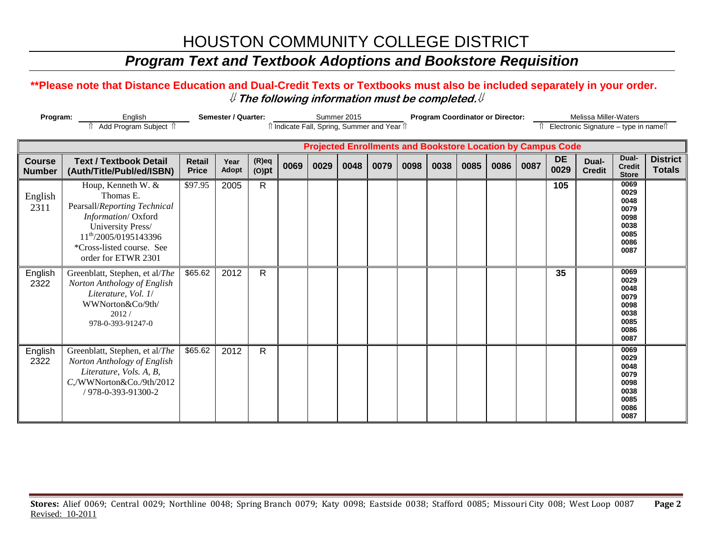### *Program Text and Textbook Adoptions and Bookstore Requisition*

#### **\*\*Please note that Distance Education and Dual-Credit Texts or Textbooks must also be included separately in your order.**  ⇓ **The following information must be completed.**⇓

| Program:                       | English<br>Add Program Subject 1                                                                                                                                                                    |                               | <b>Semester / Quarter:</b> |                      |      | Summer 2015<br><b>Program Coordinator or Director:</b><br>î Indicate Fall, Spring, Summer and Year î |      |      |      |      |      |      | Melissa Miller-Waters<br>Electronic Signature - type in namest |                                                                    |                        |                                                                      |                                  |
|--------------------------------|-----------------------------------------------------------------------------------------------------------------------------------------------------------------------------------------------------|-------------------------------|----------------------------|----------------------|------|------------------------------------------------------------------------------------------------------|------|------|------|------|------|------|----------------------------------------------------------------|--------------------------------------------------------------------|------------------------|----------------------------------------------------------------------|----------------------------------|
|                                |                                                                                                                                                                                                     |                               |                            |                      |      |                                                                                                      |      |      |      |      |      |      |                                                                | <b>Projected Enrollments and Bookstore Location by Campus Code</b> |                        |                                                                      |                                  |
| <b>Course</b><br><b>Number</b> | <b>Text / Textbook Detail</b><br>(Auth/Title/Publ/ed/ISBN)                                                                                                                                          | <b>Retail</b><br><b>Price</b> | Year<br>Adopt              | $(R)$ eq<br>$(O)$ pt | 0069 | 0029                                                                                                 | 0048 | 0079 | 0098 | 0038 | 0085 | 0086 | 0087                                                           | <b>DE</b><br>0029                                                  | Dual-<br><b>Credit</b> | Dual-<br><b>Credit</b><br><b>Store</b>                               | <b>District</b><br><b>Totals</b> |
| English<br>2311                | Houp, Kenneth W. &<br>Thomas E.<br>Pearsall/Reporting Technical<br>Information/Oxford<br>University Press/<br>11 <sup>th</sup> /2005/0195143396<br>*Cross-listed course. See<br>order for ETWR 2301 | \$97.95                       | 2005                       | $\mathsf{R}$         |      |                                                                                                      |      |      |      |      |      |      |                                                                | 105                                                                |                        | 0069<br>0029<br>0048<br>0079<br>0098<br>0038<br>0085<br>0086<br>0087 |                                  |
| English<br>2322                | Greenblatt, Stephen, et al/The<br>Norton Anthology of English<br>Literature, Vol. 1/<br>WWNorton&Co/9th/<br>2012/<br>978-0-393-91247-0                                                              | \$65.62                       | 2012                       | $\mathsf{R}$         |      |                                                                                                      |      |      |      |      |      |      |                                                                | 35                                                                 |                        | 0069<br>0029<br>0048<br>0079<br>0098<br>0038<br>0085<br>0086<br>0087 |                                  |
| English<br>2322                | Greenblatt, Stephen, et al/The<br>Norton Anthology of English<br>Literature, Vols. A, B,<br>C,/WWNorton&Co./9th/2012<br>/ 978-0-393-91300-2                                                         | \$65.62                       | 2012                       | $\mathsf{R}$         |      |                                                                                                      |      |      |      |      |      |      |                                                                |                                                                    |                        | 0069<br>0029<br>0048<br>0079<br>0098<br>0038<br>0085<br>0086<br>0087 |                                  |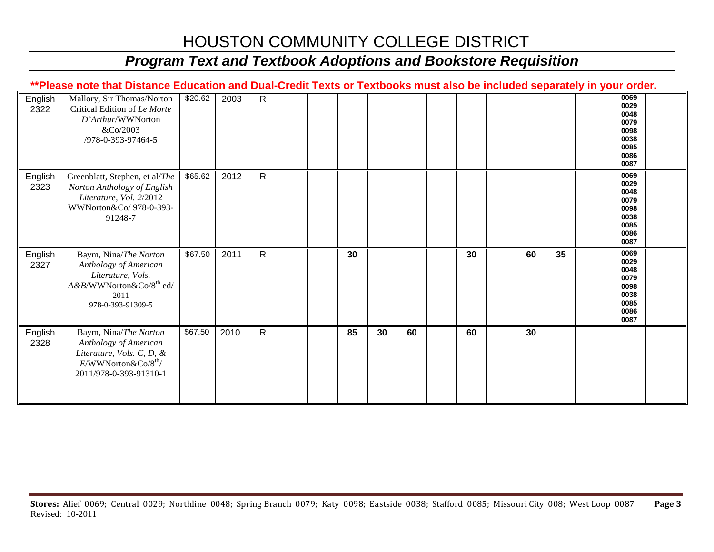## *Program Text and Textbook Adoptions and Bookstore Requisition*

|                 | **Please note that Distance Education and Dual-Credit Texts or Textbooks must also be included separately in your order.                         |         |      |              |  |    |    |    |    |    |    |                                                                      |  |
|-----------------|--------------------------------------------------------------------------------------------------------------------------------------------------|---------|------|--------------|--|----|----|----|----|----|----|----------------------------------------------------------------------|--|
| English<br>2322 | Mallory, Sir Thomas/Norton<br>Critical Edition of Le Morte<br>D'Arthur/WWNorton<br>&Co/2003<br>/978-0-393-97464-5                                | \$20.62 | 2003 | $\mathsf{R}$ |  |    |    |    |    |    |    | 0069<br>0029<br>0048<br>0079<br>0098<br>0038<br>0085<br>0086<br>0087 |  |
| English<br>2323 | Greenblatt, Stephen, et al/The<br>Norton Anthology of English<br>Literature, Vol. 2/2012<br>WWNorton&Co/ 978-0-393-<br>91248-7                   | \$65.62 | 2012 | $\mathsf{R}$ |  |    |    |    |    |    |    | 0069<br>0029<br>0048<br>0079<br>0098<br>0038<br>0085<br>0086<br>0087 |  |
| English<br>2327 | Baym, Nina/The Norton<br>Anthology of American<br>Literature, Vols.<br>A&B/WWNorton&Co/8 <sup>th</sup> ed/<br>2011<br>978-0-393-91309-5          | \$67.50 | 2011 | $\mathsf{R}$ |  | 30 |    |    | 30 | 60 | 35 | 0069<br>0029<br>0048<br>0079<br>0098<br>0038<br>0085<br>0086<br>0087 |  |
| English<br>2328 | Baym, Nina/The Norton<br>Anthology of American<br>Literature, Vols. C, D, &<br>$E/WW$ Norton $\&$ Co/8 <sup>th</sup> /<br>2011/978-0-393-91310-1 | \$67.50 | 2010 | $\mathsf{R}$ |  | 85 | 30 | 60 | 60 | 30 |    |                                                                      |  |

**Stores:** Alief 0069; Central 0029; Northline 0048; Spring Branch 0079; Katy 0098; Eastside 0038; Stafford 0085; Missouri City 008; West Loop 0087 **Page 3** Revised: 10-2011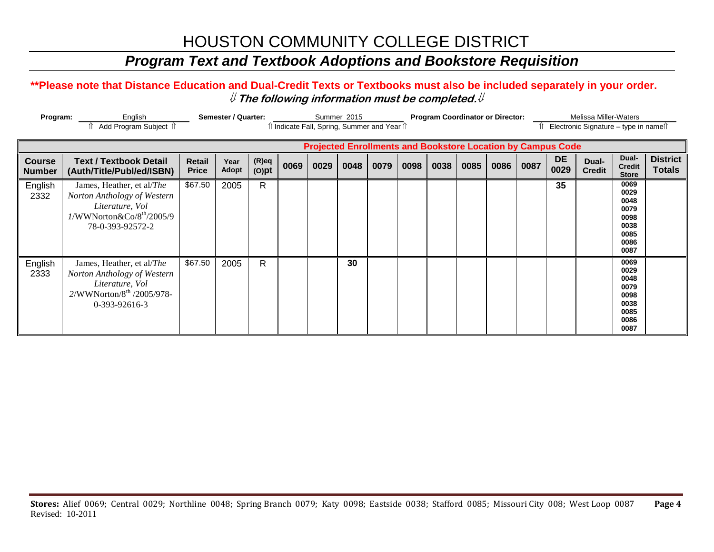### *Program Text and Textbook Adoptions and Bookstore Requisition*

#### **\*\*Please note that Distance Education and Dual-Credit Texts or Textbooks must also be included separately in your order.**  ⇓ **The following information must be completed.**⇓

| Program:                       | English<br>Add Program Subject 1                                                                                                         |                        | Semester / Quarter:  |                      |      |      | Summer 2015 | îÎ Indicate Fall, Spring, Summer and Year îÎ |      |      | <b>Program Coordinator or Director:</b> |      |      | <b>Melissa Miller-Waters</b><br>Electronic Signature - type in names |                        |                                                                      |                                  |  |
|--------------------------------|------------------------------------------------------------------------------------------------------------------------------------------|------------------------|----------------------|----------------------|------|------|-------------|----------------------------------------------|------|------|-----------------------------------------|------|------|----------------------------------------------------------------------|------------------------|----------------------------------------------------------------------|----------------------------------|--|
|                                |                                                                                                                                          |                        |                      |                      |      |      |             |                                              |      |      |                                         |      |      | <b>Projected Enrollments and Bookstore Location by Campus Code</b>   |                        |                                                                      |                                  |  |
| <b>Course</b><br><b>Number</b> | <b>Text / Textbook Detail</b><br>(Auth/Title/Publ/ed/ISBN)                                                                               | Retail<br><b>Price</b> | Year<br><b>Adopt</b> | $(R)$ eq<br>$(O)$ pt | 0069 | 0029 | 0048        | 0079                                         | 0098 | 0038 | 0085                                    | 0086 | 0087 | <b>DE</b><br>0029                                                    | Dual-<br><b>Credit</b> | Dual-<br><b>Credit</b><br><b>Store</b>                               | <b>District</b><br><b>Totals</b> |  |
| English<br>2332                | James, Heather, et al/The<br>Norton Anthology of Western<br>Literature, Vol<br>1/WWNorton&Co/8 <sup>th</sup> /2005/9<br>78-0-393-92572-2 | \$67.50                | 2005                 | R                    |      |      |             |                                              |      |      |                                         |      |      | 35                                                                   |                        | 0069<br>0029<br>0048<br>0079<br>0098<br>0038<br>0085<br>0086<br>0087 |                                  |  |
| English<br>2333                | James, Heather, et al/The<br>Norton Anthology of Western<br>Literature, Vol<br>2/WWNorton/8 <sup>th</sup> /2005/978-<br>$0-393-92616-3$  | \$67.50                | 2005                 | $\mathsf{R}$         |      |      | 30          |                                              |      |      |                                         |      |      |                                                                      |                        | 0069<br>0029<br>0048<br>0079<br>0098<br>0038<br>0085<br>0086<br>0087 |                                  |  |

**Stores:** Alief 0069; Central 0029; Northline 0048; Spring Branch 0079; Katy 0098; Eastside 0038; Stafford 0085; Missouri City 008; West Loop 0087 **Page 4** Revised: 10-2011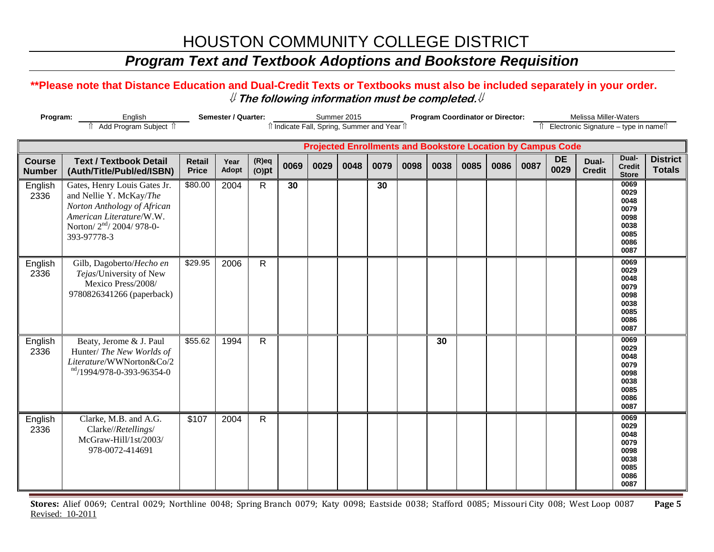### *Program Text and Textbook Adoptions and Bookstore Requisition*

#### **\*\*Please note that Distance Education and Dual-Credit Texts or Textbooks must also be included separately in your order.**  ⇓ **The following information must be completed.**⇓

| Program:                       |                                                                                                                                                                          | Semester / Quarter:           |               |                      |      | Summer 2015<br>Il Indicate Fall, Spring, Summer and Year Il |      |      |      | <b>Program Coordinator or Director:</b> |      |      | Melissa Miller-Waters<br>Îl Electronic Signature - type in nameîl |                                                                    |                        |                                                                      |                                  |
|--------------------------------|--------------------------------------------------------------------------------------------------------------------------------------------------------------------------|-------------------------------|---------------|----------------------|------|-------------------------------------------------------------|------|------|------|-----------------------------------------|------|------|-------------------------------------------------------------------|--------------------------------------------------------------------|------------------------|----------------------------------------------------------------------|----------------------------------|
|                                |                                                                                                                                                                          |                               |               |                      |      |                                                             |      |      |      |                                         |      |      |                                                                   | <b>Projected Enrollments and Bookstore Location by Campus Code</b> |                        |                                                                      |                                  |
| <b>Course</b><br><b>Number</b> | <b>Text / Textbook Detail</b><br>(Auth/Title/Publ/ed/ISBN)                                                                                                               | <b>Retail</b><br><b>Price</b> | Year<br>Adopt | $(R)$ eq<br>$(O)$ pt | 0069 | 0029                                                        | 0048 | 0079 | 0098 | 0038                                    | 0085 | 0086 | 0087                                                              | <b>DE</b><br>0029                                                  | Dual-<br><b>Credit</b> | Dual-<br><b>Credit</b><br><b>Store</b>                               | <b>District</b><br><b>Totals</b> |
| English<br>2336                | Gates, Henry Louis Gates Jr.<br>and Nellie Y. McKay/The<br>Norton Anthology of African<br>American Literature/W.W.<br>Norton/2 <sup>nd</sup> /2004/978-0-<br>393-97778-3 | \$80.00                       | 2004          | $\mathsf{R}$         | 30   |                                                             |      | 30   |      |                                         |      |      |                                                                   |                                                                    |                        | 0069<br>0029<br>0048<br>0079<br>0098<br>0038<br>0085<br>0086<br>0087 |                                  |
| English<br>2336                | Gilb, Dagoberto/Hecho en<br>Tejas/University of New<br>Mexico Press/2008/<br>9780826341266 (paperback)                                                                   | \$29.95                       | 2006          | $\mathsf{R}$         |      |                                                             |      |      |      |                                         |      |      |                                                                   |                                                                    |                        | 0069<br>0029<br>0048<br>0079<br>0098<br>0038<br>0085<br>0086<br>0087 |                                  |
| English<br>2336                | Beaty, Jerome & J. Paul<br>Hunter/ The New Worlds of<br>Literature/WWNorton&Co/2<br>nd/1994/978-0-393-96354-0                                                            | \$55.62                       | 1994          | $\mathsf{R}$         |      |                                                             |      |      |      | 30                                      |      |      |                                                                   |                                                                    |                        | 0069<br>0029<br>0048<br>0079<br>0098<br>0038<br>0085<br>0086<br>0087 |                                  |
| English<br>2336                | Clarke, M.B. and A.G.<br>Clarke//Retellings/<br>McGraw-Hill/1st/2003/<br>978-0072-414691                                                                                 | \$107                         | 2004          | $\mathsf{R}$         |      |                                                             |      |      |      |                                         |      |      |                                                                   |                                                                    |                        | 0069<br>0029<br>0048<br>0079<br>0098<br>0038<br>0085<br>0086<br>0087 |                                  |

**Stores:** Alief 0069; Central 0029; Northline 0048; Spring Branch 0079; Katy 0098; Eastside 0038; Stafford 0085; Missouri City 008; West Loop 0087 **Page 5** Revised: 10-2011